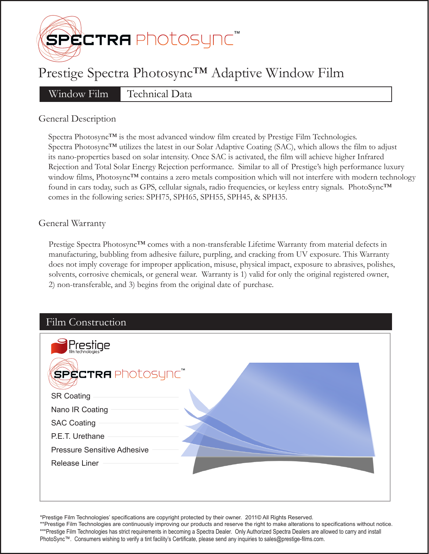

# Prestige Spectra Photosync™ Adaptive Window Film

Window Film Technical Data

## General Description

Spectra Photosync™ is the most advanced window film created by Prestige Film Technologies. Spectra Photosync™ utilizes the latest in our Solar Adaptive Coating (SAC), which allows the film to adjust its nano-properties based on solar intensity. Once SAC is activated, the film will achieve higher Infrared Rejection and Total Solar Energy Rejection performance. Similar to all of Prestige's high performance luxury window films, Photosync™ contains a zero metals composition which will not interfere with modern technology found in cars today, such as GPS, cellular signals, radio frequencies, or keyless entry signals. PhotoSync™ comes in the following series: SPH75, SPH65, SPH55, SPH45, & SPH35.

## General Warranty

Prestige Spectra Photosync™ comes with a non-transferable Lifetime Warranty from material defects in manufacturing, bubbling from adhesive failure, purpling, and cracking from UV exposure. This Warranty does not imply coverage for improper application, misuse, physical impact, exposure to abrasives, polishes, solvents, corrosive chemicals, or general wear. Warranty is 1) valid for only the original registered owner, 2) non-transferable, and 3) begins from the original date of purchase.

| Film Construction                                 |  |
|---------------------------------------------------|--|
| Prestige<br><b>SPECTRA</b> Photosync <sup>"</sup> |  |
| <b>SR Coating</b><br>Nano IR Coating              |  |
| <b>SAC Coating</b>                                |  |
| P.E.T. Urethane                                   |  |
| <b>Pressure Sensitive Adhesive</b>                |  |
| Release Liner                                     |  |
|                                                   |  |
|                                                   |  |

\*Prestige Film Technologies' specifications are copyright protected by their owner. 2011© All Rights Reserved.

\*\*Prestige Film Technologies are continuously improving our products and reserve the right to make alterations to specifications without notice. \*\*\*Prestige Film Technologies has strict requirements in becoming a Spectra Dealer. Only Authorized Spectra Dealers are allowed to carry and install PhotoSync™. Consumers wishing to verify a tint facility's Certificate, please send any inquiries to sales@prestige-films.com.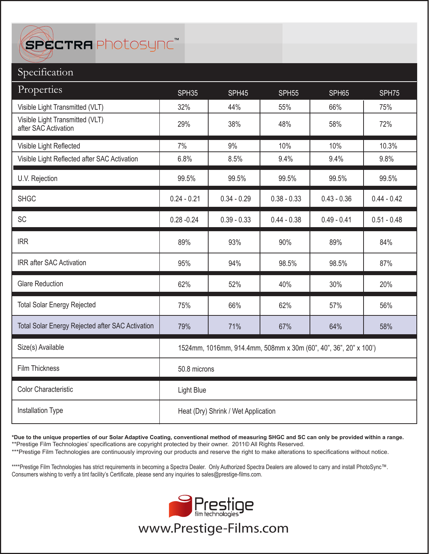SPECTRA Photosync<sup>\*</sup>

# Specification

| Properties                                              | SPH35                                                            | SPH45         | SPH <sub>55</sub> | SPH65         | SPH75         |  |
|---------------------------------------------------------|------------------------------------------------------------------|---------------|-------------------|---------------|---------------|--|
| Visible Light Transmitted (VLT)                         | 32%                                                              | 44%           | 55%               | 66%           | 75%           |  |
| Visible Light Transmitted (VLT)<br>after SAC Activation | 29%                                                              | 38%           | 48%               | 58%           | 72%           |  |
| Visible Light Reflected                                 | 7%                                                               | 9%            | 10%               | 10%           | 10.3%         |  |
| Visible Light Reflected after SAC Activation            | 6.8%                                                             | 8.5%          | 9.4%              | 9.4%          | 9.8%          |  |
| U.V. Rejection                                          | 99.5%                                                            | 99.5%         | 99.5%             | 99.5%         | 99.5%         |  |
| <b>SHGC</b>                                             | $0.24 - 0.21$                                                    | $0.34 - 0.29$ | $0.38 - 0.33$     | $0.43 - 0.36$ | $0.44 - 0.42$ |  |
| SC                                                      | $0.28 - 0.24$                                                    | $0.39 - 0.33$ | $0.44 - 0.38$     | $0.49 - 0.41$ | $0.51 - 0.48$ |  |
| <b>IRR</b>                                              | 89%                                                              | 93%           | 90%               | 89%           | 84%           |  |
| IRR after SAC Activation                                | 95%                                                              | 94%           | 98.5%             | 98.5%         | 87%           |  |
| <b>Glare Reduction</b>                                  | 62%                                                              | 52%           | 40%               | 30%           | 20%           |  |
| <b>Total Solar Energy Rejected</b>                      | 75%                                                              | 66%           | 62%               | 57%           | 56%           |  |
| Total Solar Energy Rejected after SAC Activation        | 79%                                                              | 71%           | 67%               | 64%           | 58%           |  |
| Size(s) Available                                       | 1524mm, 1016mm, 914.4mm, 508mm x 30m (60", 40", 36", 20" x 100') |               |                   |               |               |  |
| Film Thickness                                          | 50.8 microns                                                     |               |                   |               |               |  |
| <b>Color Characteristic</b>                             | Light Blue                                                       |               |                   |               |               |  |
| <b>Installation Type</b>                                | Heat (Dry) Shrink / Wet Application                              |               |                   |               |               |  |

**\*Due to the unique properties of our Solar Adaptive Coating, conventional method of measuring SHGC and SC can only be provided within a range.** \*\*Prestige Film Technologies' specifications are copyright protected by their owner. 2011© All Rights Reserved.

\*\*\*Prestige Film Technologies are continuously improving our products and reserve the right to make alterations to specifications without notice.

\*\*\*\*Prestige Film Technologies has strict requirements in becoming a Spectra Dealer. Only Authorized Spectra Dealers are allowed to carry and install PhotoSync™. Consumers wishing to verify a tint facility's Certificate, please send any inquiries to sales@prestige-films.com.



www.Prestige-Films.com